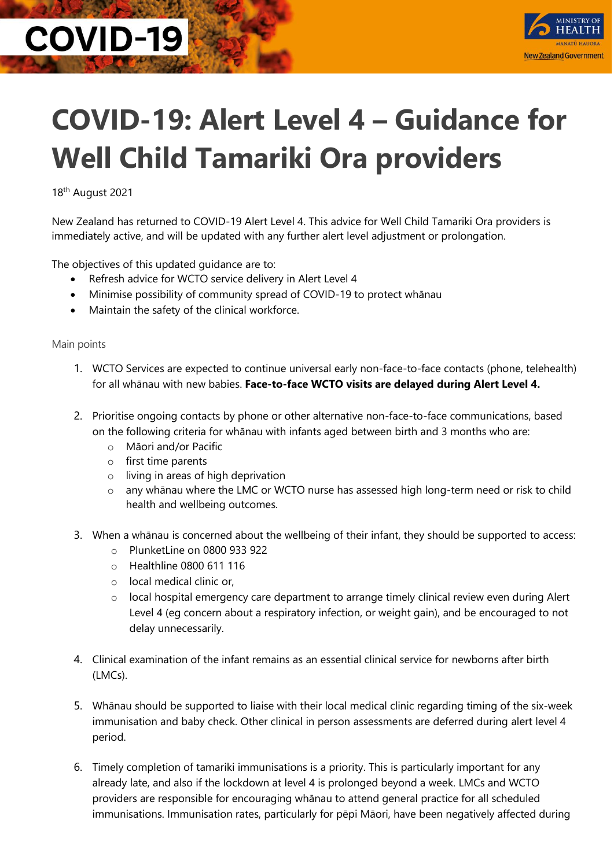## **COVID-19**



## **COVID-19: Alert Level 4 – Guidance for Well Child Tamariki Ora providers**

18th August 2021

New Zealand has returned to COVID-19 Alert Level 4. This advice for Well Child Tamariki Ora providers is immediately active, and will be updated with any further alert level adjustment or prolongation.

The objectives of this updated guidance are to:

- Refresh advice for WCTO service delivery in Alert Level 4
- Minimise possibility of community spread of COVID-19 to protect whānau
- Maintain the safety of the clinical workforce.

## Main points

- 1. WCTO Services are expected to continue universal early non-face-to-face contacts (phone, telehealth) for all whānau with new babies. **Face-to-face WCTO visits are delayed during Alert Level 4.**
- 2. Prioritise ongoing contacts by phone or other alternative non-face-to-face communications, based on the following criteria for whānau with infants aged between birth and 3 months who are:
	- o Māori and/or Pacific
	- o first time parents
	- o living in areas of high deprivation
	- o any whānau where the LMC or WCTO nurse has assessed high long-term need or risk to child health and wellbeing outcomes.
- 3. When a whānau is concerned about the wellbeing of their infant, they should be supported to access:
	- $\circ$  PlunketLine on 0800 933 922
	- o Healthline 0800 611 116
	- o local medical clinic or,
	- $\circ$  local hospital emergency care department to arrange timely clinical review even during Alert Level 4 (eg concern about a respiratory infection, or weight gain), and be encouraged to not delay unnecessarily.
- 4. Clinical examination of the infant remains as an essential clinical service for newborns after birth (LMCs).
- 5. Whānau should be supported to liaise with their local medical clinic regarding timing of the six-week immunisation and baby check. Other clinical in person assessments are deferred during alert level 4 period.
- 6. Timely completion of tamariki immunisations is a priority. This is particularly important for any already late, and also if the lockdown at level 4 is prolonged beyond a week. LMCs and WCTO providers are responsible for encouraging whānau to attend general practice for all scheduled immunisations. Immunisation rates, particularly for pēpi Māori, have been negatively affected during